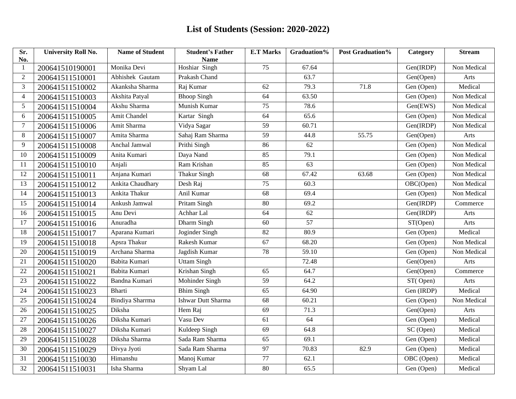| Sr.<br>No.     | <b>University Roll No.</b> | <b>Name of Student</b> | <b>Student's Father</b><br><b>Name</b> | <b>E.T Marks</b> | Graduation%     | Post Graduation% | Category   | <b>Stream</b> |
|----------------|----------------------------|------------------------|----------------------------------------|------------------|-----------------|------------------|------------|---------------|
| $\mathbf{1}$   | 200641510190001            | Monika Devi            | Hoshiar Singh                          | 75               | 67.64           |                  | Gen(IRDP)  | Non Medical   |
| $\overline{c}$ | 200641511510001            | Abhishek Gautam        | Prakash Chand                          |                  | 63.7            |                  | Gen(Open)  | Arts          |
| 3              | 200641511510002            | Akanksha Sharma        | Raj Kumar                              | $\overline{62}$  | 79.3            | 71.8             | Gen (Open) | Medical       |
| 4              | 200641511510003            | Akshita Patyal         | <b>Bhoop Singh</b>                     | 64               | 63.50           |                  | Gen (Open) | Non Medical   |
| 5              | 200641511510004            | Akshu Sharma           | Munish Kumar                           | 75               | 78.6            |                  | Gen(EWS)   | Non Medical   |
| 6              | 200641511510005            | Amit Chandel           | Kartar Singh                           | $\overline{64}$  | 65.6            |                  | Gen (Open) | Non Medical   |
| 7              | 200641511510006            | Amit Sharma            | Vidya Sagar                            | 59               | 60.71           |                  | Gen(IRDP)  | Non Medical   |
| 8              | 200641511510007            | Amita Sharma           | Sahaj Ram Sharma                       | $\overline{59}$  | 44.8            | 55.75            | Gen(Open)  | Arts          |
| 9              | 200641511510008            | Anchal Jamwal          | Prithi Singh                           | 86               | 62              |                  | Gen (Open) | Non Medical   |
| 10             | 200641511510009            | Anita Kumari           | Daya Nand                              | 85               | 79.1            |                  | Gen (Open) | Non Medical   |
| 11             | 200641511510010            | Anjali                 | Ram Krishan                            | 85               | $\overline{63}$ |                  | Gen (Open) | Non Medical   |
| 12             | 200641511510011            | Anjana Kumari          | <b>Thakur Singh</b>                    | $\overline{68}$  | 67.42           | 63.68            | Gen (Open) | Non Medical   |
| 13             | 200641511510012            | Ankita Chaudhary       | Desh Raj                               | $\overline{75}$  | 60.3            |                  | OBC(Open)  | Non Medical   |
| 14             | 200641511510013            | Ankita Thakur          | Anil Kumar                             | 68               | 69.4            |                  | Gen (Open) | Non Medical   |
| 15             | 200641511510014            | Ankush Jamwal          | Pritam Singh                           | 80               | 69.2            |                  | Gen(IRDP)  | Commerce      |
| 16             | 200641511510015            | Anu Devi               | Achhar Lal                             | 64               | 62              |                  | Gen(IRDP)  | Arts          |
| 17             | 200641511510016            | Anuradha               | Dharm Singh                            | 60               | 57              |                  | ST(Open)   | Arts          |
| 18             | 200641511510017            | Aparana Kumari         | Joginder Singh                         | $\overline{82}$  | 80.9            |                  | Gen (Open) | Medical       |
| 19             | 200641511510018            | Apsra Thakur           | Rakesh Kumar                           | 67               | 68.20           |                  | Gen (Open) | Non Medical   |
| 20             | 200641511510019            | Archana Sharma         | Jagdish Kumar                          | 78               | 59.10           |                  | Gen (Open) | Non Medical   |
| 21             | 200641511510020            | Babita Kumari          | <b>Uttam Singh</b>                     |                  | 72.48           |                  | Gen(Open)  | Arts          |
| 22             | 200641511510021            | Babita Kumari          | Krishan Singh                          | 65               | 64.7            |                  | Gen(Open)  | Commerce      |
| 23             | 200641511510022            | Bandna Kumari          | Mohinder Singh                         | 59               | 64.2            |                  | ST(Open)   | Arts          |
| 24             | 200641511510023            | Bharti                 | <b>Bhim Singh</b>                      | 65               | 64.90           |                  | Gen (IRDP) | Medical       |
| 25             | 200641511510024            | Bindiya Sharrma        | Ishwar Dutt Sharma                     | 68               | 60.21           |                  | Gen (Open) | Non Medical   |
| 26             | 200641511510025            | Diksha                 | Hem Raj                                | 69               | 71.3            |                  | Gen(Open)  | Arts          |
| 27             | 200641511510026            | Diksha Kumari          | Vasu Dev                               | 61               | 64              |                  | Gen (Open) | Medical       |
| 28             | 200641511510027            | Diksha Kumari          | Kuldeep Singh                          | 69               | 64.8            |                  | SC (Open)  | Medical       |
| 29             | 200641511510028            | Diksha Sharma          | Sada Ram Sharma                        | 65               | 69.1            |                  | Gen (Open) | Medical       |
| 30             | 200641511510029            | Divya Jyoti            | Sada Ram Sharma                        | 97               | 70.83           | 82.9             | Gen (Open) | Medical       |
| 31             | 200641511510030            | Himanshu               | Manoj Kumar                            | 77               | 62.1            |                  | OBC (Open) | Medical       |
| 32             | 200641511510031            | Isha Sharma            | Shyam Lal                              | 80               | 65.5            |                  | Gen (Open) | Medical       |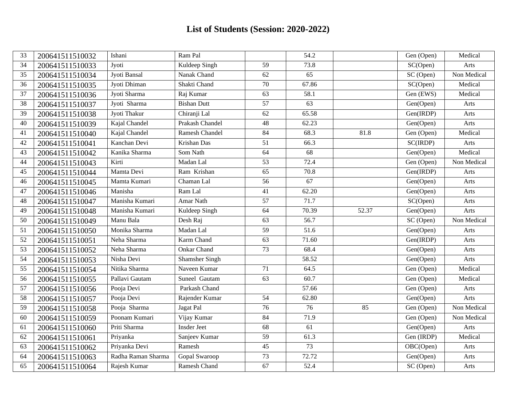| 33 | 200641511510032 | Ishani             | Ram Pal               |                 | 54.2              |       | Gen (Open)             | Medical     |
|----|-----------------|--------------------|-----------------------|-----------------|-------------------|-------|------------------------|-------------|
| 34 | 200641511510033 | Jyoti              | Kuldeep Singh         | 59              | 73.8              |       | SC(Open)               | Arts        |
| 35 | 200641511510034 | Jyoti Bansal       | Nanak Chand           | 62              | 65                |       | $\overline{SC}$ (Open) | Non Medical |
| 36 | 200641511510035 | Jyoti Dhiman       | Shakti Chand          | 70              | 67.86             |       | SC(Open)               | Medical     |
| 37 | 200641511510036 | Jyoti Sharma       | Raj Kumar             | 63              | 58.1              |       | Gen (EWS)              | Medical     |
| 38 | 200641511510037 | Jyoti Sharma       | <b>Bishan Dutt</b>    | 57              | 63                |       | Gen(Open)              | Arts        |
| 39 | 200641511510038 | Jyoti Thakur       | Chiranji Lal          | 62              | 65.58             |       | Gen(IRDP)              | Arts        |
| 40 | 200641511510039 | Kajal Chandel      | Prakash Chandel       | 48              | 62.23             |       | Gen(Open)              | Arts        |
| 41 | 200641511510040 | Kajal Chandel      | Ramesh Chandel        | 84              | 68.3              | 81.8  | Gen (Open)             | Medical     |
| 42 | 200641511510041 | Kanchan Devi       | Krishan Das           | 51              | 66.3              |       | SC(IRDP)               | Arts        |
| 43 | 200641511510042 | Kanika Sharma      | Som Nath              | $\overline{64}$ | 68                |       | Gen(Open)              | Medical     |
| 44 | 200641511510043 | Kirti              | Madan Lal             | 53              | 72.4              |       | Gen (Open)             | Non Medical |
| 45 | 200641511510044 | Mamta Devi         | Ram Krishan           | 65              | 70.8              |       | Gen(IRDP)              | Arts        |
| 46 | 200641511510045 | Mamta Kumari       | Chaman Lal            | 56              | 67                |       | Gen(Open)              | Arts        |
| 47 | 200641511510046 | Manisha            | Ram Lal               | $\overline{41}$ | 62.20             |       | Gen(Open)              | Arts        |
| 48 | 200641511510047 | Manisha Kumari     | Amar Nath             | $\overline{57}$ | 71.7              |       | SC(Open)               | Arts        |
| 49 | 200641511510048 | Manisha Kumari     | Kuldeep Singh         | 64              | 70.39             | 52.37 | Gen(Open)              | Arts        |
| 50 | 200641511510049 | Manu Bala          | Desh Raj              | 63              | 56.7              |       | SC (Open)              | Non Medical |
| 51 | 200641511510050 | Monika Sharma      | Madan Lal             | $\overline{59}$ | $\overline{51.6}$ |       | Gen(Open)              | Arts        |
| 52 | 200641511510051 | Neha Sharma        | Karm Chand            | $\overline{63}$ | 71.60             |       | Gen(IRDP)              | Arts        |
| 53 | 200641511510052 | Neha Sharma        | <b>Onkar Chand</b>    | $\overline{73}$ | 68.4              |       | Gen(Open)              | Arts        |
| 54 | 200641511510053 | Nisha Devi         | <b>Shamsher Singh</b> |                 | 58.52             |       | Gen(Open)              | Arts        |
| 55 | 200641511510054 | Nitika Sharma      | Naveen Kumar          | 71              | 64.5              |       | Gen (Open)             | Medical     |
| 56 | 200641511510055 | Pallavi Gautam     | Suneel Gautam         | 63              | 60.7              |       | Gen (Open)             | Medical     |
| 57 | 200641511510056 | Pooja Devi         | Parkash Chand         |                 | 57.66             |       | Gen (Open)             | Arts        |
| 58 | 200641511510057 | Pooja Devi         | Rajender Kumar        | 54              | 62.80             |       | Gen(Open)              | Arts        |
| 59 | 200641511510058 | Pooja Sharma       | Jagat Pal             | $\overline{76}$ | $\overline{76}$   | 85    | Gen (Open)             | Non Medical |
| 60 | 200641511510059 | Poonam Kumari      | Vijay Kumar           | 84              | 71.9              |       | Gen (Open)             | Non Medical |
| 61 | 200641511510060 | Priti Sharma       | <b>Insder Jeet</b>    | 68              | 61                |       | Gen(Open)              | Arts        |
| 62 | 200641511510061 | Priyanka           | Sanjeev Kumar         | $\overline{59}$ | 61.3              |       | Gen (IRDP)             | Medical     |
| 63 | 200641511510062 | Priyanka Devi      | Ramesh                | 45              | $\overline{73}$   |       | OBC(Open)              | Arts        |
| 64 | 200641511510063 | Radha Raman Sharma | Gopal Swaroop         | 73              | 72.72             |       | Gen(Open)              | Arts        |
| 65 | 200641511510064 | Rajesh Kumar       | Ramesh Chand          | 67              | 52.4              |       | SC (Open)              | Arts        |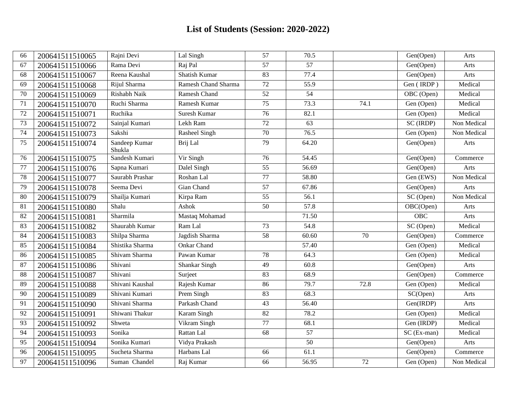| 66 | 200641511510065 | Rajni Devi              | Lal Singh                  | 57              | 70.5              |      | Gen(Open)   | Arts        |
|----|-----------------|-------------------------|----------------------------|-----------------|-------------------|------|-------------|-------------|
| 67 | 200641511510066 | Rama Devi               | Raj Pal                    | 57              | 57                |      | Gen(Open)   | Arts        |
| 68 | 200641511510067 | Reena Kaushal           | Shatish Kumar              | 83              | 77.4              |      | Gen(Open)   | Arts        |
| 69 | 200641511510068 | Rijul Sharma            | <b>Ramesh Chand Sharma</b> | $\overline{72}$ | 55.9              |      | Gen (IRDP)  | Medical     |
| 70 | 200641511510069 | Rishabh Naik            | Ramesh Chand               | 52              | 54                |      | OBC (Open)  | Medical     |
| 71 | 200641511510070 | Ruchi Sharma            | Ramesh Kumar               | $\overline{75}$ | 73.3              | 74.1 | Gen (Open)  | Medical     |
| 72 | 200641511510071 | Ruchika                 | Suresh Kumar               | $\overline{76}$ | 82.1              |      | Gen (Open)  | Medical     |
| 73 | 200641511510072 | Sainjal Kumari          | Lekh Ram                   | $\overline{72}$ | 63                |      | SC (IRDP)   | Non Medical |
| 74 | 200641511510073 | Sakshi                  | Rasheel Singh              | 70              | 76.5              |      | Gen (Open)  | Non Medical |
| 75 | 200641511510074 | Sandeep Kumar<br>Shukla | Brij Lal                   | 79              | 64.20             |      | Gen(Open)   | Arts        |
| 76 | 200641511510075 | Sandesh Kumari          | Vir Singh                  | 76              | 54.45             |      | Gen(Open)   | Commerce    |
| 77 | 200641511510076 | Sapna Kumari            | Dalel Singh                | 55              | 56.69             |      | Gen(Open)   | Arts        |
| 78 | 200641511510077 | Saurabh Prashar         | Roshan Lal                 | 77              | 58.80             |      | Gen (EWS)   | Non Medical |
| 79 | 200641511510078 | Seema Devi              | Gian Chand                 | 57              | 67.86             |      | Gen(Open)   | Arts        |
| 80 | 200641511510079 | Shailja Kumari          | Kirpa Ram                  | 55              | 56.1              |      | SC (Open)   | Non Medical |
| 81 | 200641511510080 | Shalu                   | Ashok                      | $\overline{50}$ | $\overline{57.8}$ |      | OBC(Open)   | Arts        |
| 82 | 200641511510081 | Sharmila                | Mastaq Mohamad             |                 | 71.50             |      | <b>OBC</b>  | Arts        |
| 83 | 200641511510082 | Shaurabh Kumar          | Ram Lal                    | 73              | 54.8              |      | SC (Open)   | Medical     |
| 84 | 200641511510083 | Shilpa Sharma           | Jagdish Sharma             | $\overline{58}$ | 60.60             | 70   | Gen(Open)   | Commerce    |
| 85 | 200641511510084 | Shistika Sharma         | <b>Onkar Chand</b>         |                 | 57.40             |      | Gen (Open)  | Medical     |
| 86 | 200641511510085 | Shivam Sharma           | Pawan Kumar                | 78              | 64.3              |      | Gen (Open)  | Medical     |
| 87 | 200641511510086 | Shivani                 | Shankar Singh              | 49              | 60.8              |      | Gen(Open)   | Arts        |
| 88 | 200641511510087 | Shivani                 | Surject                    | 83              | 68.9              |      | Gen(Open)   | Commerce    |
| 89 | 200641511510088 | Shivani Kaushal         | Rajesh Kumar               | 86              | 79.7              | 72.8 | Gen (Open)  | Medical     |
| 90 | 200641511510089 | Shivani Kumari          | Prem Singh                 | 83              | 68.3              |      | SC(Open)    | Arts        |
| 91 | 200641511510090 | Shivani Sharma          | Parkash Chand              | $\overline{43}$ | 56.40             |      | Gen(IRDP)   | Arts        |
| 92 | 200641511510091 | Shiwani Thakur          | Karam Singh                | $\overline{82}$ | 78.2              |      | Gen (Open)  | Medical     |
| 93 | 200641511510092 | Shweta                  | Vikram Singh               | 77              | 68.1              |      | Gen (IRDP)  | Medical     |
| 94 | 200641511510093 | Sonika                  | Rattan Lal                 | 68              | 57                |      | SC (Ex-man) | Medical     |
| 95 | 200641511510094 | Sonika Kumari           | Vidya Prakash              |                 | 50                |      | Gen(Open)   | Arts        |
| 96 | 200641511510095 | Sucheta Sharma          | Harbans Lal                | 66              | 61.1              |      | Gen(Open)   | Commerce    |
| 97 | 200641511510096 | Suman Chandel           | Raj Kumar                  | 66              | 56.95             | 72   | Gen (Open)  | Non Medical |